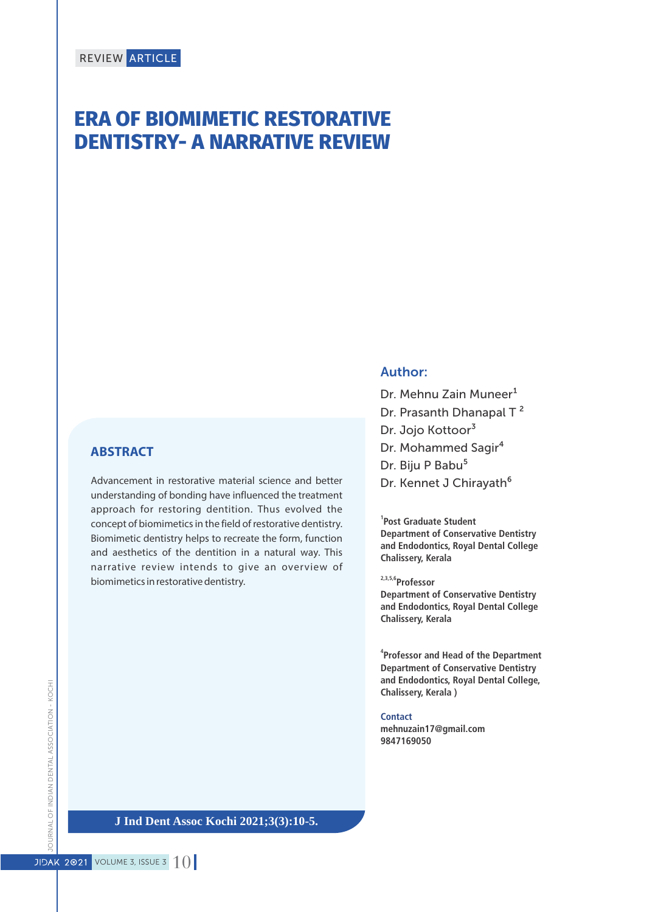# **ERA OF BIOMIMETIC RESTORATIVE DENTISTRY- A NARRATIVE REVIEW**

## **ABSTRACT**

Advancement in restorative material science and better understanding of bonding have influenced the treatment approach for restoring dentition. Thus evolved the concept of biomimetics in the field of restorative dentistry. Biomimetic dentistry helps to recreate the form, function and aesthetics of the dentition in a natural way. This narrative review intends to give an overview of biomimetics in restorative dentistry.

## Author:

Dr. Mehnu Zain Muneer<sup>1</sup> Dr. Prasanth Dhanapal T<sup>2</sup> Dr. Jojo Kottoor<sup>3</sup> Dr. Mohammed Sagir<sup>4</sup> Dr. Biju P Babu<sup>5</sup> Dr. Kennet J Chirayath<sup>6</sup>

**1 Post Graduate Student Department of Conservative Dentistry and Endodontics, Royal Dental College Chalissery, Kerala**

**2,3,5,6Professor** 

**Department of Conservative Dentistry and Endodontics, Royal Dental College Chalissery, Kerala**

**4 Professor and Head of the Department Department of Conservative Dentistry and Endodontics, Royal Dental College, Chalissery, Kerala )**

**Contact mehnuzain17@gmail.com 9847169050**

JOURNAL OF INDIAN DENTAL ASSOCIATION - KOCHI JOURNAL OF INDIAN DENTAL ASSOCIATION - KOCHI

**J Ind Dent Assoc Kochi 2021;3(3):10-5.**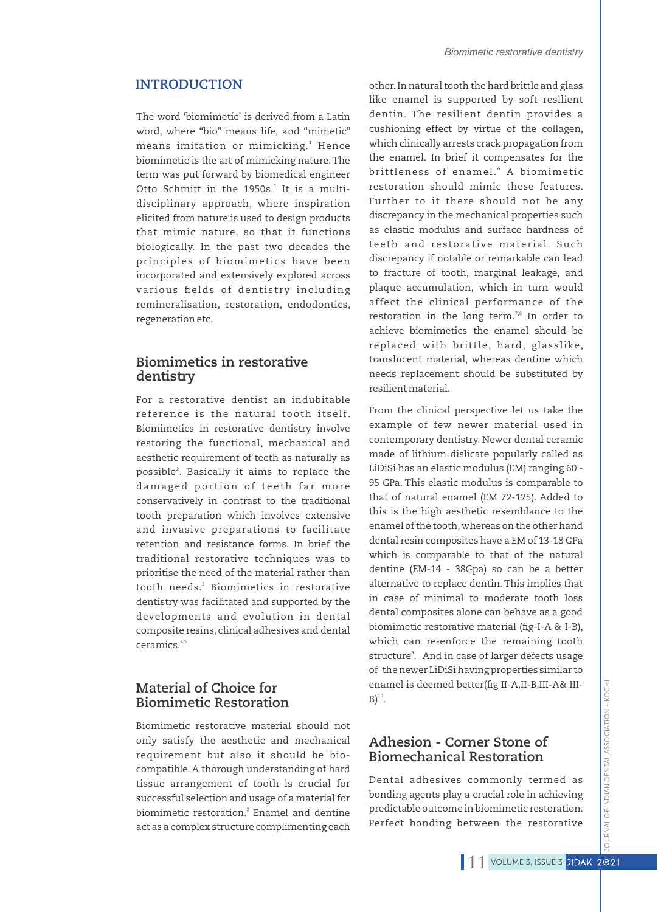### **INTRODUCTION**

The word 'biomimetic' is derived from a Latin word, where "bio" means life, and "mimetic" means imitation or mimicking.<sup>1</sup> Hence biomimetic is the art of mimicking nature.The term was put forward by biomedical engineer Otto Schmitt in the 1950s.<sup>1</sup> It is a multidisciplinary approach, where inspiration elicited from nature is used to design products that mimic nature, so that it functions biologically. In the past two decades the principles of biomimetics have been incorporated and extensively explored across various fields of dentistry including remineralisation, restoration, endodontics, regeneration etc.

## **Biomimetics in restorative dentistry**

For a restorative dentist an indubitable reference is the natural tooth itself. Biomimetics in restorative dentistry involve restoring the functional, mechanical and aesthetic requirement of teeth as naturally as possible<sup>2</sup>. Basically it aims to replace the damaged portion of teeth far more conservatively in contrast to the traditional tooth preparation which involves extensive and invasive preparations to facilitate retention and resistance forms. In brief the traditional restorative techniques was to prioritise the need of the material rather than 3 tooth needs. Biomimetics in restorative dentistry was facilitated and supported by the developments and evolution in dental composite resins, clinical adhesives and dental 4,5 ceramics.

# **Material of Choice for Biomimetic Restoration**

Biomimetic restorative material should not only satisfy the aesthetic and mechanical requirement but also it should be biocompatible. A thorough understanding of hard tissue arrangement of tooth is crucial for successful selection and usage of a material for biomimetic restoration.<sup>2</sup> Enamel and dentine act as a complex structure complimenting each

other.In natural tooth the hard brittle and glass like enamel is supported by soft resilient dentin. The resilient dentin provides a cushioning effect by virtue of the collagen, which clinically arrests crack propagation from the enamel. In brief it compensates for the brittleness of enamel. $^{\rm 6}$  A biomimetic restoration should mimic these features. Further to it there should not be any discrepancy in the mechanical properties such as elastic modulus and surface hardness of teeth and restorative material. Such discrepancy if notable or remarkable can lead to fracture of tooth, marginal leakage, and plaque accumulation, which in turn would affect the clinical performance of the restoration in the long term.',<sup>8</sup> In order to achieve biomimetics the enamel should be replaced with brittle, hard, glasslike, translucent material, whereas dentine which needs replacement should be substituted by resilient material.

From the clinical perspective let us take the example of few newer material used in contemporary dentistry. Newer dental ceramic made of lithium dislicate popularly called as LiDiSi has an elastic modulus (EM) ranging 60 - 95 GPa. This elastic modulus is comparable to that of natural enamel (EM 72-125). Added to this is the high aesthetic resemblance to the enamel of the tooth,whereas on the other hand dental resin composites have a EM of 13-18 GPa which is comparable to that of the natural dentine (EM-14 - 38Gpa) so can be a better alternative to replace dentin.This implies that in case of minimal to moderate tooth loss dental composites alone can behave as a good biomimetic restorative material (fig-I-A & I-B), which can re-enforce the remaining tooth structure<sup>9</sup>. And in case of larger defects usage of the newer LiDiSi having properties similar to enamel is deemed better(fig II-A, II-B, III-A& III- $B)^{10}$ .

# **Adhesion - Corner Stone of Biomechanical Restoration**

Dental adhesives commonly termed as bonding agents play a crucial role in achieving predictable outcome in biomimetic restoration. Perfect bonding between the restorative

JOURNAL OF INDIAN DENTAL ASSOCIATION - KOCHI

**JRNAL OF INDIAN DENTAL ASSOCIATION - KOCH**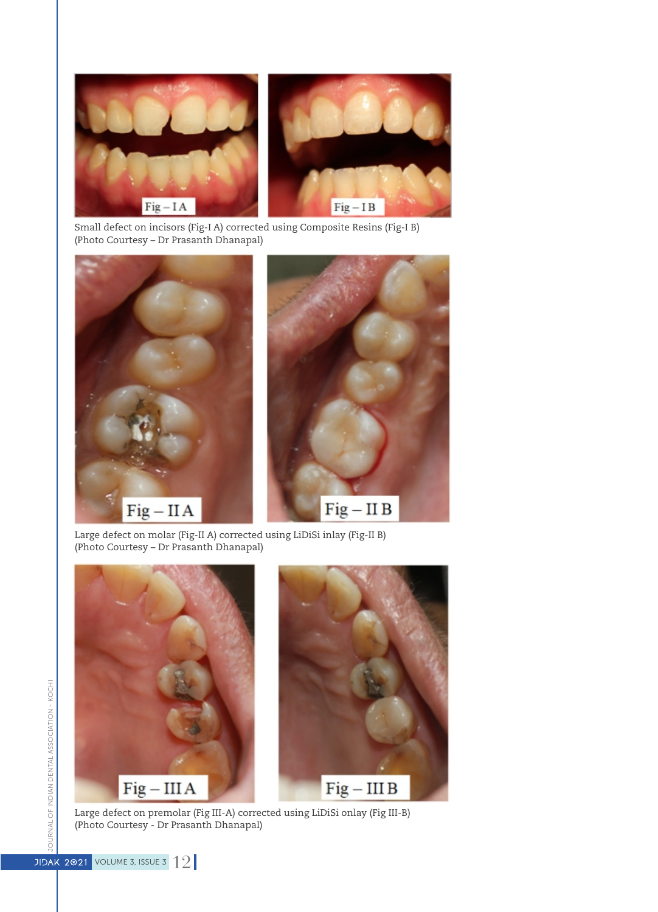

Small defect on incisors (Fig-I A) corrected using Composite Resins (Fig-I B) (Photo Courtesy – Dr Prasanth Dhanapal)



Large defect on molar (Fig-II A) corrected using LiDiSi inlay (Fig-II B) (Photo Courtesy – Dr Prasanth Dhanapal)



Large defect on premolar (Fig III-A) corrected using LiDiSi onlay (Fig III-B) (Photo Courtesy - Dr Prasanth Dhanapal)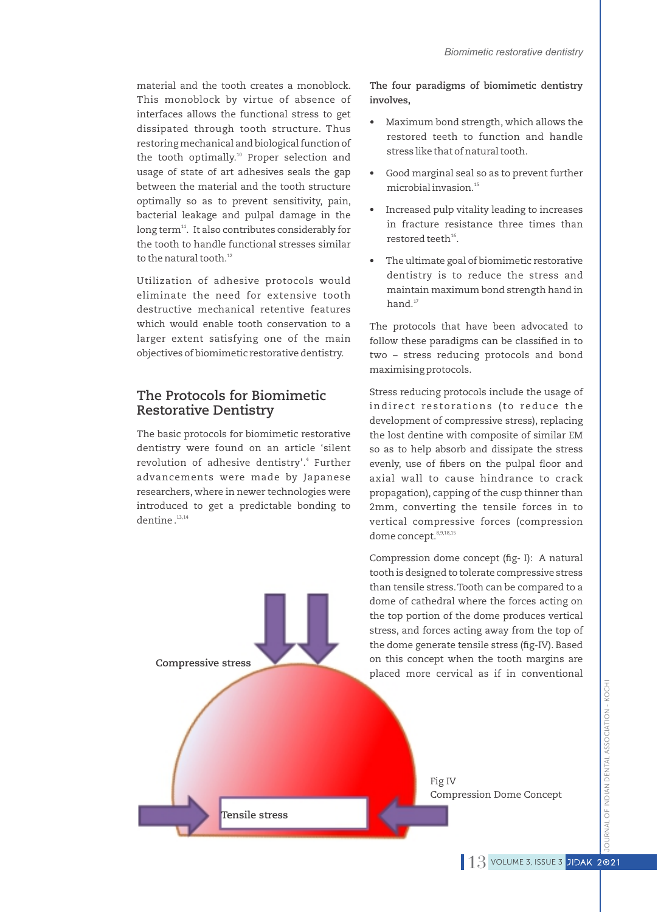material and the tooth creates a monoblock. This monoblock by virtue of absence of interfaces allows the functional stress to get dissipated through tooth structure. Thus restoring mechanical and biological function of the tooth optimally.<sup>10</sup> Proper selection and usage of state of art adhesives seals the gap between the material and the tooth structure optimally so as to prevent sensitivity, pain, bacterial leakage and pulpal damage in the long term $^{11}$ . It also contributes considerably for the tooth to handle functional stresses similar to the natural tooth.<sup>12</sup>

Utilization of adhesive protocols would eliminate the need for extensive tooth destructive mechanical retentive features which would enable tooth conservation to a larger extent satisfying one of the main objectives of biomimetic restorative dentistry.

## **The Protocols for Biomimetic Restorative Dentistry**

The basic protocols for biomimetic restorative dentistry were found on an article 'silent revolution of adhesive dentistry'.<sup>4</sup> Further advancements were made by Japanese researchers, where in newer technologies were introduced to get a predictable bonding to  $d$ entine  $13,14$ 

## **The four paradigms of biomimetic dentistry involves,**

- Maximum bond strength, which allows the restored teeth to function and handle stress like that of natural tooth.
- Good marginal seal so as to prevent further microbial invasion.<sup>15</sup>
- Increased pulp vitality leading to increases in fracture resistance three times than restored teeth $^{16}$ .
- The ultimate goal of biomimetic restorative dentistry is to reduce the stress and maintain maximum bond strength hand in  $hand.<sup>17</sup>$

The protocols that have been advocated to follow these paradigms can be classified in to two – stress reducing protocols and bond maximising protocols.

Stress reducing protocols include the usage of indirect restorations (to reduce the development of compressive stress), replacing the lost dentine with composite of similar EM so as to help absorb and dissipate the stress evenly, use of fibers on the pulpal floor and axial wall to cause hindrance to crack propagation), capping of the cusp thinner than 2mm, converting the tensile forces in to vertical compressive forces (compression dome concept.<sup>8,9,18,15</sup>

Compression dome concept (fig- I): A natural

tooth is designed to tolerate compressive stress than tensile stress.Tooth can be compared to a dome of cathedral where the forces acting on the top portion of the dome produces vertical stress, and forces acting away from the top of the dome generate tensile stress (fig-IV). Based on this concept when the tooth margins are placed more cervical as if in conventional **Compressive stress Tensile stress** Fig IV Compression Dome Concept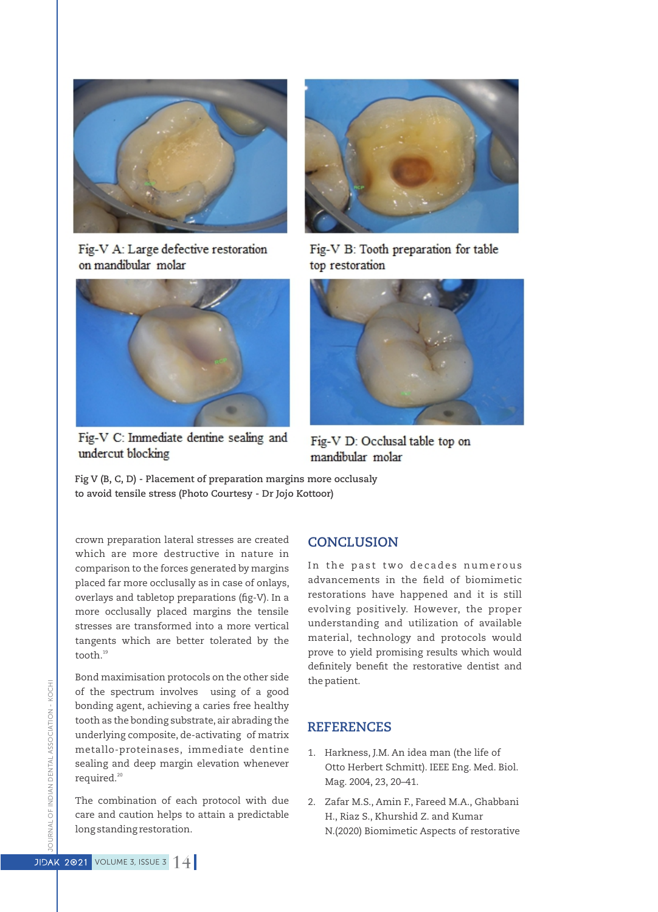

Fig-V A: Large defective restoration on mandibular molar



Fig-V C: Immediate dentine sealing and undercut blocking



Fig-V B: Tooth preparation for table top restoration



Fig-V D: Occlusal table top on mandibular molar

**Fig V (B, C, D) - Placement of preparation margins more occlusaly to avoid tensile stress (Photo Courtesy - Dr Jojo Kottoor)**

crown preparation lateral stresses are created which are more destructive in nature in comparison to the forces generated by margins placed far more occlusally as in case of onlays, overlays and tabletop preparations (fig-V). In a more occlusally placed margins the tensile stresses are transformed into a more vertical tangents which are better tolerated by the tooth.<sup>19</sup>

Bond maximisation protocols on the other side of the spectrum involves using of a good bonding agent, achieving a caries free healthy tooth as the bonding substrate, air abrading the underlying composite, de-activating of matrix metallo-proteinases, immediate dentine sealing and deep margin elevation whenever required.<sup>20</sup>

The combination of each protocol with due care and caution helps to attain a predictable long standing restoration.

### **CONCLUSION**

In the past two decades numerous advancements in the field of biomimetic restorations have happened and it is still evolving positively. However, the proper understanding and utilization of available material, technology and protocols would prove to yield promising results which would definitely benefit the restorative dentist and the patient.

## **REFERENCES**

- 1. Harkness, J.M. An idea man (the life of Otto Herbert Schmitt). IEEE Eng. Med. Biol. Mag. 2004, 23, 20–41.
- 2. Zafar M.S., Amin F., Fareed M.A., Ghabbani H., Riaz S., Khurshid Z. and Kumar N.(2020) Biomimetic Aspects of restorative